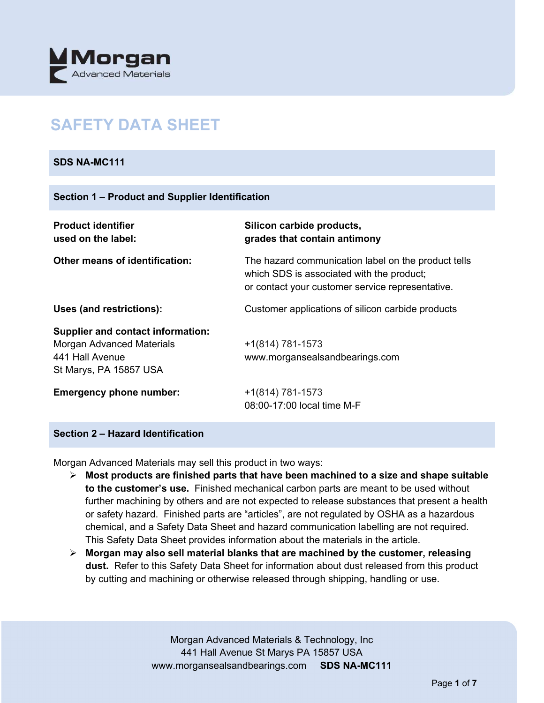

# **SAFETY DATA SHEET**

## **SDS NA-MC111**

#### **Section 1 – Product and Supplier Identification**

| <b>Product identifier</b><br>used on the label:                                                                           | Silicon carbide products,<br>grades that contain antimony                                                                                            |
|---------------------------------------------------------------------------------------------------------------------------|------------------------------------------------------------------------------------------------------------------------------------------------------|
| <b>Other means of identification:</b>                                                                                     | The hazard communication label on the product tells<br>which SDS is associated with the product;<br>or contact your customer service representative. |
| Uses (and restrictions):                                                                                                  | Customer applications of silicon carbide products                                                                                                    |
| <b>Supplier and contact information:</b><br><b>Morgan Advanced Materials</b><br>441 Hall Avenue<br>St Marys, PA 15857 USA | $+1(814) 781-1573$<br>www.morgansealsandbearings.com                                                                                                 |
| <b>Emergency phone number:</b>                                                                                            | $+1(814) 781-1573$<br>08:00-17:00 local time M-F                                                                                                     |

## **Section 2 – Hazard Identification**

Morgan Advanced Materials may sell this product in two ways:

- **Most products are finished parts that have been machined to a size and shape suitable to the customer's use.** Finished mechanical carbon parts are meant to be used without further machining by others and are not expected to release substances that present a health or safety hazard. Finished parts are "articles", are not regulated by OSHA as a hazardous chemical, and a Safety Data Sheet and hazard communication labelling are not required. This Safety Data Sheet provides information about the materials in the article.
- **Morgan may also sell material blanks that are machined by the customer, releasing dust.** Refer to this Safety Data Sheet for information about dust released from this product by cutting and machining or otherwise released through shipping, handling or use.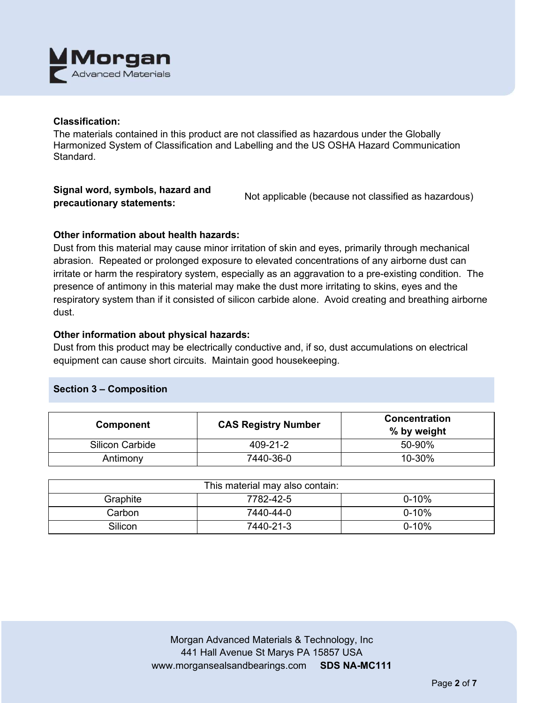

## **Classification:**

The materials contained in this product are not classified as hazardous under the Globally Harmonized System of Classification and Labelling and the US OSHA Hazard Communication Standard.

## **Signal word, symbols, hazard and precautionary statements:** Not applicable (because not classified as hazardous)

# **Other information about health hazards:**

Dust from this material may cause minor irritation of skin and eyes, primarily through mechanical abrasion. Repeated or prolonged exposure to elevated concentrations of any airborne dust can irritate or harm the respiratory system, especially as an aggravation to a pre-existing condition. The presence of antimony in this material may make the dust more irritating to skins, eyes and the respiratory system than if it consisted of silicon carbide alone. Avoid creating and breathing airborne dust.

## **Other information about physical hazards:**

Dust from this product may be electrically conductive and, if so, dust accumulations on electrical equipment can cause short circuits. Maintain good housekeeping.

#### **Section 3 – Composition**

| <b>Component</b>       | <b>CAS Registry Number</b> | <b>Concentration</b><br>% by weight |
|------------------------|----------------------------|-------------------------------------|
| <b>Silicon Carbide</b> | 409-21-2                   | 50-90%                              |
| Antimony               | 7440-36-0                  | 10-30%                              |

| This material may also contain: |           |           |  |
|---------------------------------|-----------|-----------|--|
| Graphite                        | 7782-42-5 | $0 - 10%$ |  |
| Carbon                          | 7440-44-0 | $0 - 10%$ |  |
| Silicon                         | 7440-21-3 | $0 - 10%$ |  |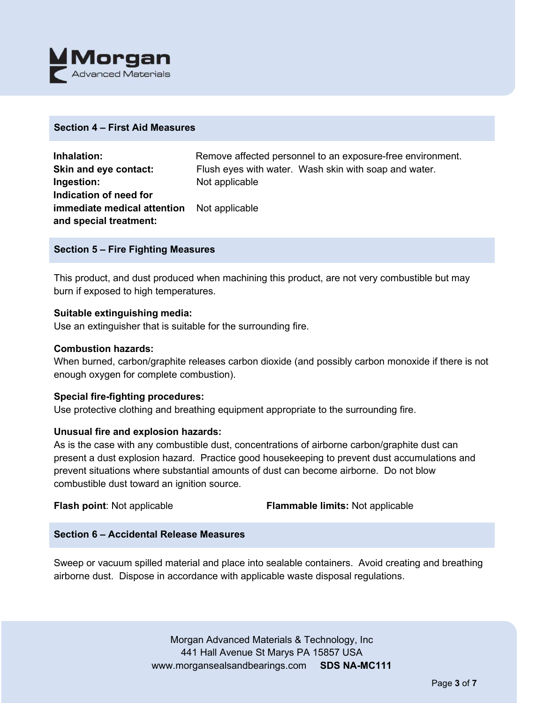

#### **Section 4 – First Aid Measures**

| Inhalation:                 | Remove affected personnel to an exposure-free environment. |  |
|-----------------------------|------------------------------------------------------------|--|
| Skin and eye contact:       | Flush eyes with water. Wash skin with soap and water.      |  |
| Ingestion:                  | Not applicable                                             |  |
| Indication of need for      |                                                            |  |
| immediate medical attention | Not applicable                                             |  |
| and special treatment:      |                                                            |  |

#### **Section 5 – Fire Fighting Measures**

This product, and dust produced when machining this product, are not very combustible but may burn if exposed to high temperatures.

#### **Suitable extinguishing media:**

Use an extinguisher that is suitable for the surrounding fire.

#### **Combustion hazards:**

When burned, carbon/graphite releases carbon dioxide (and possibly carbon monoxide if there is not enough oxygen for complete combustion).

#### **Special fire-fighting procedures:**

Use protective clothing and breathing equipment appropriate to the surrounding fire.

#### **Unusual fire and explosion hazards:**

As is the case with any combustible dust, concentrations of airborne carbon/graphite dust can present a dust explosion hazard. Practice good housekeeping to prevent dust accumulations and prevent situations where substantial amounts of dust can become airborne. Do not blow combustible dust toward an ignition source.

**Flash point**: Not applicable **Flammable limits:** Not applicable

## **Section 6 – Accidental Release Measures**

Sweep or vacuum spilled material and place into sealable containers. Avoid creating and breathing airborne dust. Dispose in accordance with applicable waste disposal regulations.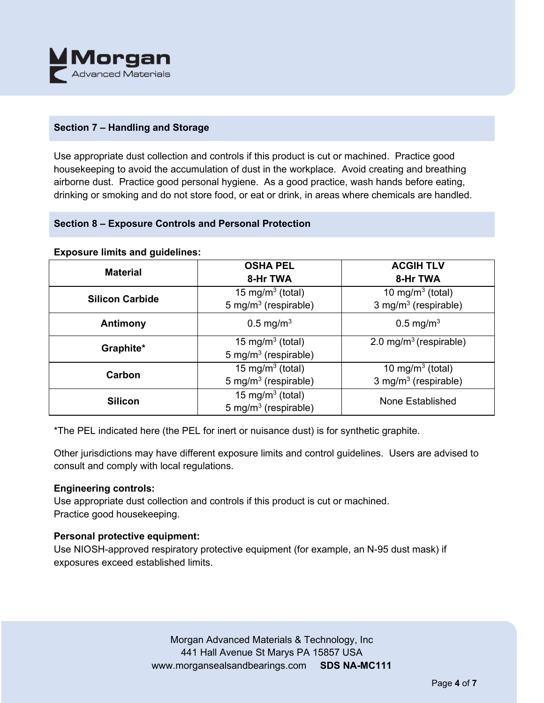

# **Section 7 – Handling and Storage**

Use appropriate dust collection and controls if this product is cut or machined. Practice good housekeeping to avoid the accumulation of dust in the workplace. Avoid creating and breathing airborne dust. Practice good personal hygiene. As a good practice, wash hands before eating, drinking or smoking and do not store food, or eat or drink, in areas where chemicals are handled.

## **Section 8 – Exposure Controls and Personal Protection**

| <b>Exposure limits and guidelines:</b> |  |  |  |
|----------------------------------------|--|--|--|
|----------------------------------------|--|--|--|

| <b>Material</b>        | <b>OSHA PEL</b><br>8-Hr TWA                                      | <b>ACGIH TLV</b><br>8-Hr TWA                            |
|------------------------|------------------------------------------------------------------|---------------------------------------------------------|
| <b>Silicon Carbide</b> | 15 mg/m <sup>3</sup> (total)<br>5 mg/m <sup>3</sup> (respirable) | 10 mg/m $3$ (total)<br>3 mg/m <sup>3</sup> (respirable) |
| Antimony               | $0.5 \,\mathrm{mg/m^3}$                                          | $0.5 \,\mathrm{mg/m^3}$                                 |
| Graphite*              | 15 mg/m <sup>3</sup> (total)<br>5 mg/m <sup>3</sup> (respirable) | 2.0 mg/m <sup>3</sup> (respirable)                      |
| Carbon                 | 15 mg/m <sup>3</sup> (total)<br>5 mg/m <sup>3</sup> (respirable) | 10 mg/m $3$ (total)<br>3 mg/m <sup>3</sup> (respirable) |
| <b>Silicon</b>         | 15 mg/m <sup>3</sup> (total)<br>5 mg/m <sup>3</sup> (respirable) | None Established                                        |

\*The PEL indicated here (the PEL for inert or nuisance dust) is for synthetic graphite.

Other jurisdictions may have different exposure limits and control guidelines. Users are advised to consult and comply with local regulations.

## **Engineering controls:**

Use appropriate dust collection and controls if this product is cut or machined. Practice good housekeeping.

## **Personal protective equipment:**

Use NIOSH-approved respiratory protective equipment (for example, an N-95 dust mask) if exposures exceed established limits.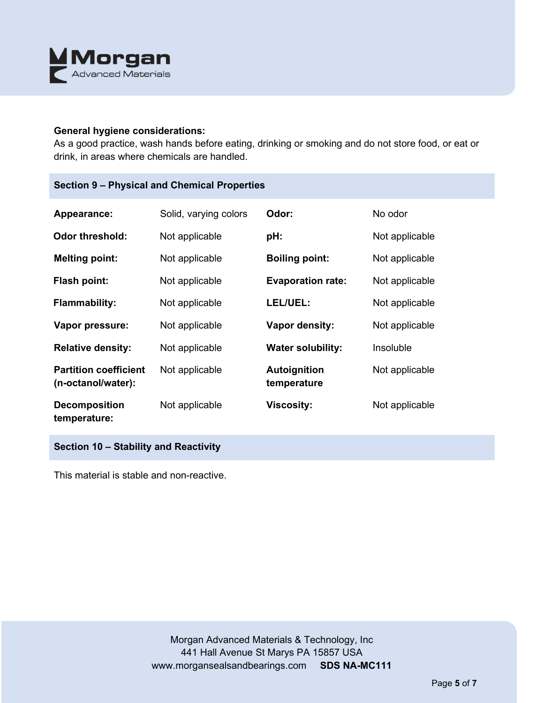

#### **General hygiene considerations:**

As a good practice, wash hands before eating, drinking or smoking and do not store food, or eat or drink, in areas where chemicals are handled.

# **Section 9 – Physical and Chemical Properties**

| Appearance:                                        | Solid, varying colors | Odor:                              | No odor        |
|----------------------------------------------------|-----------------------|------------------------------------|----------------|
| <b>Odor threshold:</b>                             | Not applicable        | pH:                                | Not applicable |
| <b>Melting point:</b>                              | Not applicable        | <b>Boiling point:</b>              | Not applicable |
| Flash point:                                       | Not applicable        | <b>Evaporation rate:</b>           | Not applicable |
| <b>Flammability:</b>                               | Not applicable        | LEL/UEL:                           | Not applicable |
| Vapor pressure:                                    | Not applicable        | Vapor density:                     | Not applicable |
| <b>Relative density:</b>                           | Not applicable        | <b>Water solubility:</b>           | Insoluble      |
| <b>Partition coefficient</b><br>(n-octanol/water): | Not applicable        | <b>Autoignition</b><br>temperature | Not applicable |
| <b>Decomposition</b><br>temperature:               | Not applicable        | <b>Viscosity:</b>                  | Not applicable |

**Section 10 – Stability and Reactivity** 

This material is stable and non-reactive.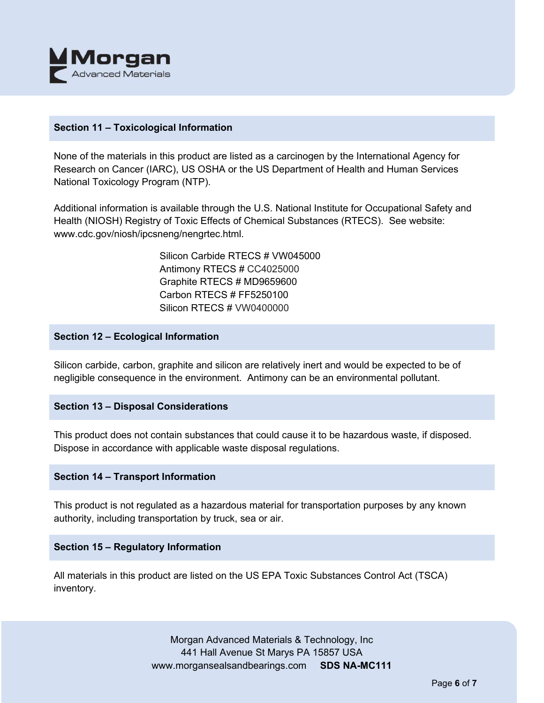

## **Section 11 – Toxicological Information**

None of the materials in this product are listed as a carcinogen by the International Agency for Research on Cancer (IARC), US OSHA or the US Department of Health and Human Services National Toxicology Program (NTP).

Additional information is available through the U.S. National Institute for Occupational Safety and Health (NIOSH) Registry of Toxic Effects of Chemical Substances (RTECS). See website: www.cdc.gov/niosh/ipcsneng/nengrtec.html.

> Silicon Carbide RTECS # VW045000 Antimony RTECS # CC4025000 Graphite RTECS # MD9659600 Carbon RTECS # FF5250100 Silicon RTECS # VW0400000

## **Section 12 – Ecological Information**

Silicon carbide, carbon, graphite and silicon are relatively inert and would be expected to be of negligible consequence in the environment. Antimony can be an environmental pollutant.

## **Section 13 – Disposal Considerations**

This product does not contain substances that could cause it to be hazardous waste, if disposed. Dispose in accordance with applicable waste disposal regulations.

#### **Section 14 – Transport Information**

This product is not regulated as a hazardous material for transportation purposes by any known authority, including transportation by truck, sea or air.

## **Section 15 – Regulatory Information**

All materials in this product are listed on the US EPA Toxic Substances Control Act (TSCA) inventory.